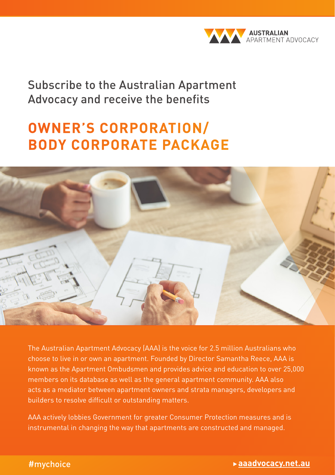

Subscribe to the Australian Apartment Advocacy and receive the benefits

# **OWNER'S CORPORATION/ BODY CORPORATE PACKAGE**



The Australian Apartment Advocacy (AAA) is the voice for 2.5 million Australians who choose to live in or own an apartment. Founded by Director Samantha Reece, AAA is known as the Apartment Ombudsmen and provides advice and education to over 25,000 members on its database as well as the general apartment community. AAA also acts as a mediator between apartment owners and strata managers, developers and builders to resolve difficult or outstanding matters.

AAA actively lobbies Government for greater Consumer Protection measures and is instrumental in changing the way that apartments are constructed and managed.

#### #mychoice

#### What you need to know about living in an apartment | Owner's guide 1 **aaadvocacy.net.au**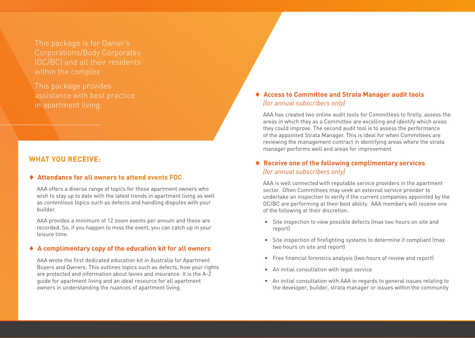This package is for Owner's Corporations/Body Corporates (OC/BC) and all their residents within the complex.

This package provides assistance with best practice in apartment living.

## **WHAT YOU RECEIVE:**

#### ♦ **Attendance for all owners to attend events FOC**

AAA offers a diverse range of topics for those apartment owners who wish to stay up to date with the latest trends in apartment living as well as contentious topics such as defects and handling disputes with your builder.

AAA provides a minimum of 12 zoom events per annum and these are recorded. So, if you happen to miss the event, you can catch up in your leisure time.

#### ♦ **A complimentary copy of the education kit for all owners**

AAA wrote the first dedicated education kit in Australia for Apartment Buyers and Owners. This outlines topics such as defects, how your rights are protected and information about levies and insurance. It is the A-Z guide for apartment living and an ideal resource for all apartment owners in understanding the nuances of apartment living.

# ♦ **Access to Committee and Strata Manager audit tools** *(for annual subscribers only)*

AAA has created two online audit tools for Committees to firstly, assess the areas in which they as a Committee are excelling and identify which areas they could improve. The second audit tool is to assess the performance of the appointed Strata Manager. This is ideal for when Committees are reviewing the management contract in identifying areas where the strata manager performs well and areas for improvement.

## ♦ **Receive one of the following complimentary services** *(for annual subscribers only)*

AAA is well connected with reputable service providers in the apartment sector. Often Committees may seek an external service provider to undertake an inspection to verify if the current companies appointed by the OC/BC are performing at their best ability. AAA members will receive one of the following at their discretion.

- Site inspection to view possible defects (max two hours on site and report)
- Site inspection of firefighting systems to determine if compliant (max two hours on site and report)
- Free financial forensics analysis (two hours of review and report)
- An initial consultation with legal service
- An initial consultation with AAA in regards to general issues relating to the developer, builder, strata manager or issues within the community